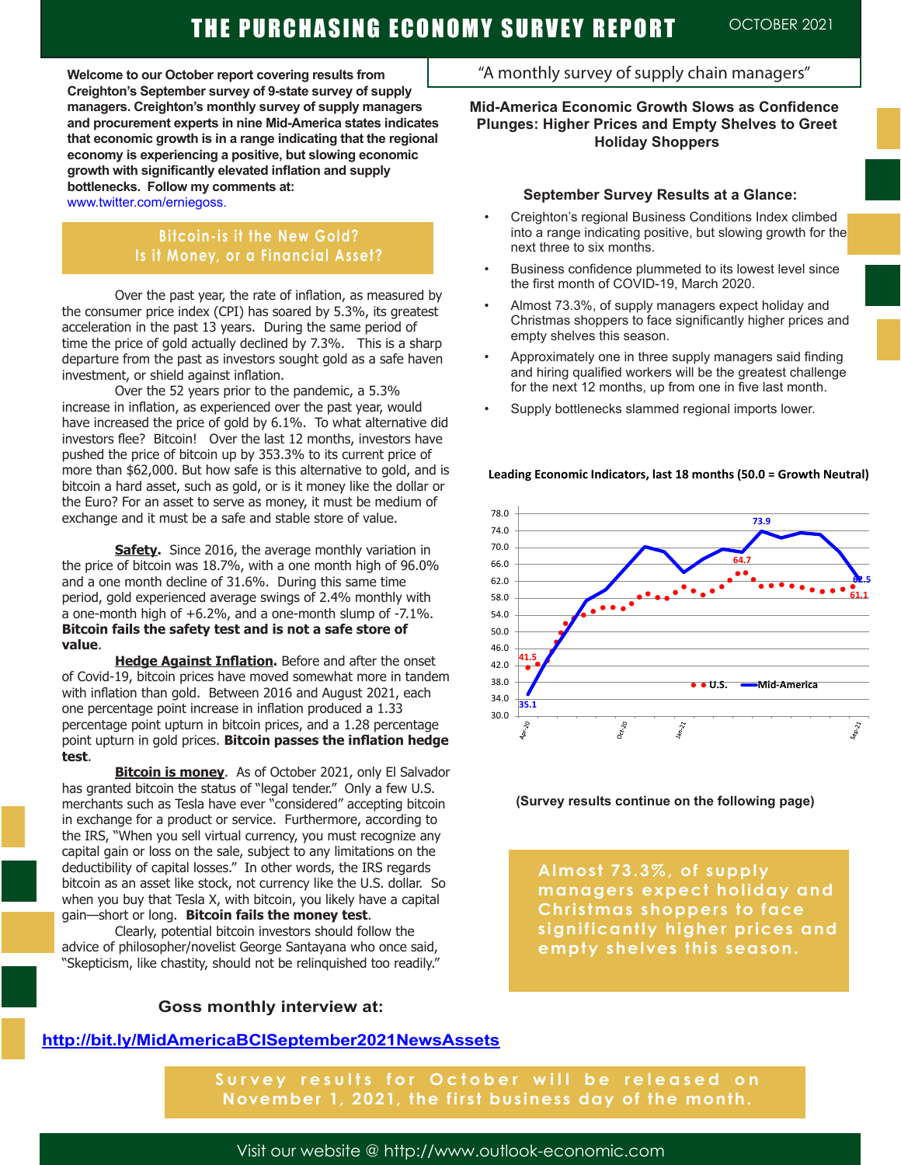# THE PURCHASING ECONOMY SURVEY REPORT OCTOBER 2021

**Welcome to our October report covering results from Creighton's September survey of 9-state survey of supply managers. Creighton's monthly survey of supply managers and procurement experts in nine Mid-America states indicates that economic growth is in a range indicating that the regional economy is experiencing a positive, but slowing economic growth with significantly elevated inflation and supply bottlenecks. Follow my comments at:** 

www.twitter.com/erniegoss.

### **Bitcoin-is it the New Gold? Is it Money, or a Financial Asset?**

Over the past year, the rate of inflation, as measured by the consumer price index (CPI) has soared by 5.3%, its greatest acceleration in the past 13 years. During the same period of time the price of gold actually declined by 7.3%. This is a sharp departure from the past as investors sought gold as a safe haven investment, or shield against inflation.

Over the 52 years prior to the pandemic, a 5.3% increase in inflation, as experienced over the past year, would have increased the price of gold by 6.1%. To what alternative did investors flee? Bitcoin! Over the last 12 months, investors have pushed the price of bitcoin up by 353.3% to its current price of more than \$62,000. But how safe is this alternative to gold, and is bitcoin a hard asset, such as gold, or is it money like the dollar or the Euro? For an asset to serve as money, it must be medium of exchange and it must be a safe and stable store of value.

**Safety.** Since 2016, the average monthly variation in the price of bitcoin was 18.7%, with a one month high of 96.0% and a one month decline of 31.6%. During this same time period, gold experienced average swings of 2.4% monthly with a one-month high of +6.2%, and a one-month slump of -7.1%. **Bitcoin fails the safety test and is not a safe store of value**.

**Hedge Against Inflation.** Before and after the onset of Covid-19, bitcoin prices have moved somewhat more in tandem with inflation than gold. Between 2016 and August 2021, each one percentage point increase in inflation produced a 1.33 percentage point upturn in bitcoin prices, and a 1.28 percentage point upturn in gold prices. **Bitcoin passes the inflation hedge test**.

**Bitcoin is money**. As of October 2021, only El Salvador has granted bitcoin the status of "legal tender." Only a few U.S. merchants such as Tesla have ever "considered" accepting bitcoin in exchange for a product or service. Furthermore, according to the IRS, "When you sell virtual currency, you must recognize any capital gain or loss on the sale, subject to any limitations on the deductibility of capital losses." In other words, the IRS regards bitcoin as an asset like stock, not currency like the U.S. dollar. So when you buy that Tesla X, with bitcoin, you likely have a capital gain—short or long. **Bitcoin fails the money test**.

Clearly, potential bitcoin investors should follow the advice of philosopher/novelist George Santayana who once said, "Skepticism, like chastity, should not be relinquished too readily."

**Goss monthly interview at:** 

### "A monthly survey of supply chain managers"

### **Mid-America Economic Growth Slows as Confidence Plunges: Higher Prices and Empty Shelves to Greet Holiday Shoppers**

#### **September Survey Results at a Glance:**

- Creighton's regional Business Conditions Index climbed into a range indicating positive, but slowing growth for the next three to six months.
- Business confidence plummeted to its lowest level since the first month of COVID-19, March 2020.
- Almost 73.3%, of supply managers expect holiday and Christmas shoppers to face significantly higher prices and empty shelves this season.
- Approximately one in three supply managers said finding and hiring qualified workers will be the greatest challenge for the next 12 months, up from one in five last month.
- Supply bottlenecks slammed regional imports lower.





**(Survey results continue on the following page)**

**Almost 73.3%, of supply managers expect holiday and Christmas shoppers to face significantly higher prices and empty shelves this season.** 

### **http://bit.ly/MidAmericaBCISeptember2021NewsAssets**

**Survey results for October will be released on November 1, 2021, the first business day of the month.** 

Visit our website @ http://www.outlook-economic.com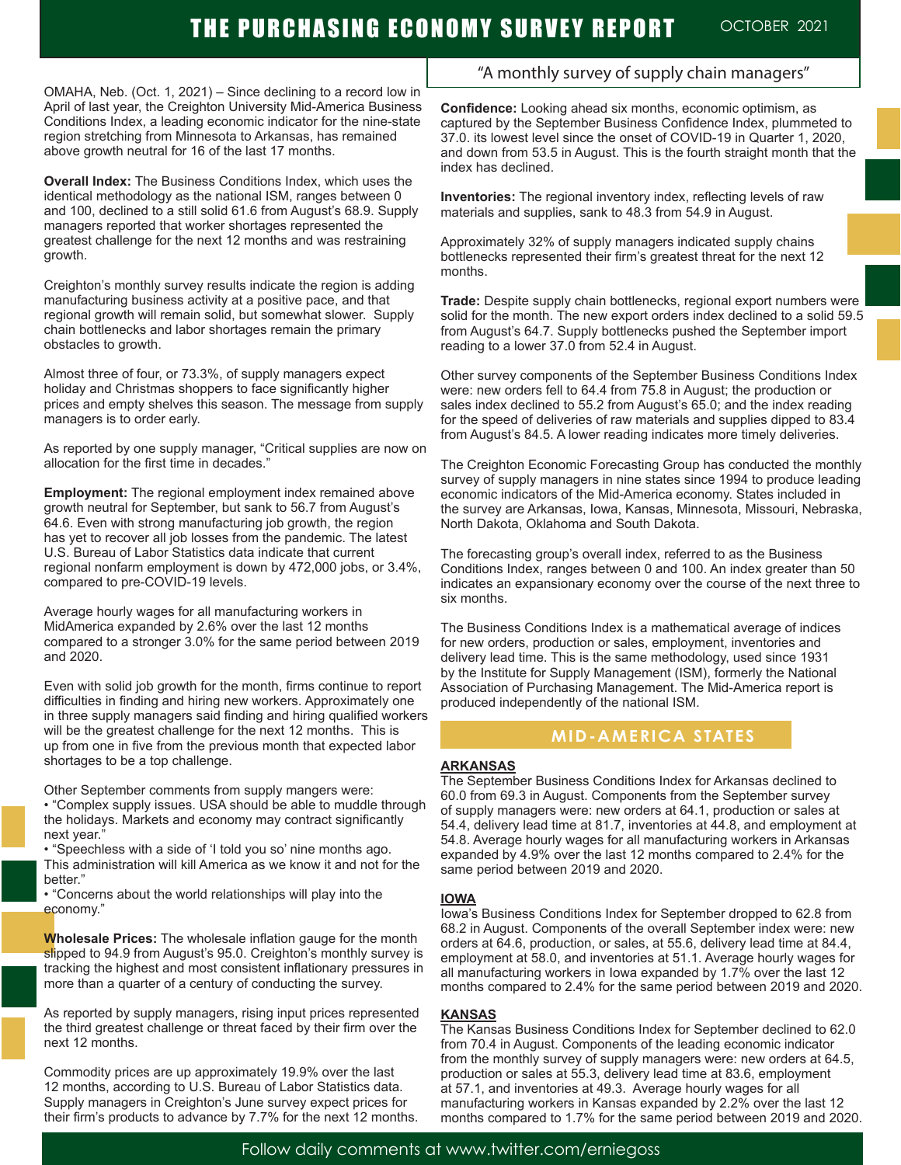# THE PURCHASING ECONOMY SURVEY REPORT OCTOBER 2021

OMAHA, Neb. (Oct. 1, 2021) – Since declining to a record low in April of last year, the Creighton University Mid-America Business Conditions Index, a leading economic indicator for the nine-state region stretching from Minnesota to Arkansas, has remained above growth neutral for 16 of the last 17 months.

**Overall Index:** The Business Conditions Index, which uses the identical methodology as the national ISM, ranges between 0 and 100, declined to a still solid 61.6 from August's 68.9. Supply managers reported that worker shortages represented the greatest challenge for the next 12 months and was restraining growth.

Creighton's monthly survey results indicate the region is adding manufacturing business activity at a positive pace, and that regional growth will remain solid, but somewhat slower. Supply chain bottlenecks and labor shortages remain the primary obstacles to growth.

Almost three of four, or 73.3%, of supply managers expect holiday and Christmas shoppers to face significantly higher prices and empty shelves this season. The message from supply managers is to order early.

As reported by one supply manager, "Critical supplies are now on allocation for the first time in decades."

**Employment:** The regional employment index remained above growth neutral for September, but sank to 56.7 from August's 64.6. Even with strong manufacturing job growth, the region has yet to recover all job losses from the pandemic. The latest U.S. Bureau of Labor Statistics data indicate that current regional nonfarm employment is down by 472,000 jobs, or 3.4%, compared to pre-COVID-19 levels.

Average hourly wages for all manufacturing workers in MidAmerica expanded by 2.6% over the last 12 months compared to a stronger 3.0% for the same period between 2019 and 2020.

Even with solid job growth for the month, firms continue to report difficulties in finding and hiring new workers. Approximately one in three supply managers said finding and hiring qualified workers will be the greatest challenge for the next 12 months. This is up from one in five from the previous month that expected labor shortages to be a top challenge.

Other September comments from supply mangers were: • "Complex supply issues. USA should be able to muddle through the holidays. Markets and economy may contract significantly next year."

• "Speechless with a side of 'I told you so' nine months ago. This administration will kill America as we know it and not for the better."

• "Concerns about the world relationships will play into the economy."

**Wholesale Prices:** The wholesale inflation gauge for the month slipped to 94.9 from August's 95.0. Creighton's monthly survey is tracking the highest and most consistent inflationary pressures in more than a quarter of a century of conducting the survey.

As reported by supply managers, rising input prices represented the third greatest challenge or threat faced by their firm over the next 12 months.

Commodity prices are up approximately 19.9% over the last 12 months, according to U.S. Bureau of Labor Statistics data. Supply managers in Creighton's June survey expect prices for their firm's products to advance by 7.7% for the next 12 months.

### "A monthly survey of supply chain managers"

**Confidence:** Looking ahead six months, economic optimism, as captured by the September Business Confidence Index, plummeted to 37.0. its lowest level since the onset of COVID-19 in Quarter 1, 2020, and down from 53.5 in August. This is the fourth straight month that the index has declined.

**Inventories:** The regional inventory index, reflecting levels of raw materials and supplies, sank to 48.3 from 54.9 in August.

Approximately 32% of supply managers indicated supply chains bottlenecks represented their firm's greatest threat for the next 12 months.

**Trade:** Despite supply chain bottlenecks, regional export numbers were solid for the month. The new export orders index declined to a solid 59.5 from August's 64.7. Supply bottlenecks pushed the September import reading to a lower 37.0 from 52.4 in August.

Other survey components of the September Business Conditions Index were: new orders fell to 64.4 from 75.8 in August; the production or sales index declined to 55.2 from August's 65.0; and the index reading for the speed of deliveries of raw materials and supplies dipped to 83.4 from August's 84.5. A lower reading indicates more timely deliveries.

The Creighton Economic Forecasting Group has conducted the monthly survey of supply managers in nine states since 1994 to produce leading economic indicators of the Mid-America economy. States included in the survey are Arkansas, Iowa, Kansas, Minnesota, Missouri, Nebraska, North Dakota, Oklahoma and South Dakota.

The forecasting group's overall index, referred to as the Business Conditions Index, ranges between 0 and 100. An index greater than 50 indicates an expansionary economy over the course of the next three to six months.

The Business Conditions Index is a mathematical average of indices for new orders, production or sales, employment, inventories and delivery lead time. This is the same methodology, used since 1931 by the Institute for Supply Management (ISM), formerly the National Association of Purchasing Management. The Mid-America report is produced independently of the national ISM.

#### **MID-AMERICA STATES**

#### **ARKANSAS**

The September Business Conditions Index for Arkansas declined to 60.0 from 69.3 in August. Components from the September survey of supply managers were: new orders at 64.1, production or sales at 54.4, delivery lead time at 81.7, inventories at 44.8, and employment at 54.8. Average hourly wages for all manufacturing workers in Arkansas expanded by 4.9% over the last 12 months compared to 2.4% for the same period between 2019 and 2020.

#### **IOWA**

Iowa's Business Conditions Index for September dropped to 62.8 from 68.2 in August. Components of the overall September index were: new orders at 64.6, production, or sales, at 55.6, delivery lead time at 84.4, employment at 58.0, and inventories at 51.1. Average hourly wages for all manufacturing workers in Iowa expanded by 1.7% over the last 12 months compared to 2.4% for the same period between 2019 and 2020.

#### **KANSAS**

The Kansas Business Conditions Index for September declined to 62.0 from 70.4 in August. Components of the leading economic indicator from the monthly survey of supply managers were: new orders at 64.5, production or sales at 55.3, delivery lead time at 83.6, employment at 57.1, and inventories at 49.3. Average hourly wages for all manufacturing workers in Kansas expanded by 2.2% over the last 12 months compared to 1.7% for the same period between 2019 and 2020.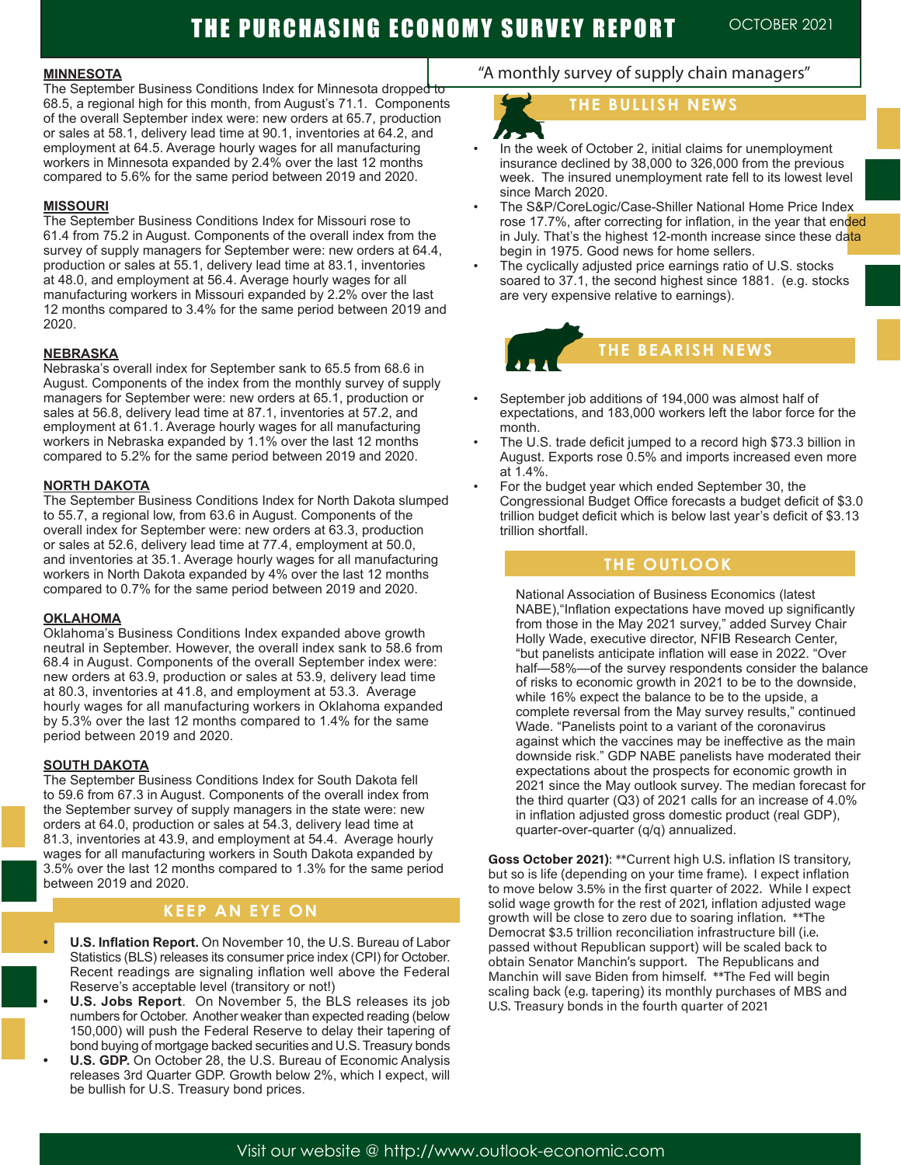#### **MINNESOTA**

The September Business Conditions Index for Minnesota dropped to 68.5, a regional high for this month, from August's 71.1. Components of the overall September index were: new orders at 65.7, production or sales at 58.1, delivery lead time at 90.1, inventories at 64.2, and employment at 64.5. Average hourly wages for all manufacturing workers in Minnesota expanded by 2.4% over the last 12 months compared to 5.6% for the same period between 2019 and 2020.

#### **MISSOURI**

The September Business Conditions Index for Missouri rose to 61.4 from 75.2 in August. Components of the overall index from the survey of supply managers for September were: new orders at 64.4, production or sales at 55.1, delivery lead time at 83.1, inventories at 48.0, and employment at 56.4. Average hourly wages for all manufacturing workers in Missouri expanded by 2.2% over the last 12 months compared to 3.4% for the same period between 2019 and 2020.

#### **NEBRASKA**

Nebraska's overall index for September sank to 65.5 from 68.6 in August. Components of the index from the monthly survey of supply managers for September were: new orders at 65.1, production or sales at 56.8, delivery lead time at 87.1, inventories at 57.2, and employment at 61.1. Average hourly wages for all manufacturing workers in Nebraska expanded by 1.1% over the last 12 months compared to 5.2% for the same period between 2019 and 2020.

#### **NORTH DAKOTA**

The September Business Conditions Index for North Dakota slumped to 55.7, a regional low, from 63.6 in August. Components of the overall index for September were: new orders at 63.3, production or sales at 52.6, delivery lead time at 77.4, employment at 50.0, and inventories at 35.1. Average hourly wages for all manufacturing workers in North Dakota expanded by 4% over the last 12 months compared to 0.7% for the same period between 2019 and 2020.

#### **OKLAHOMA**

Oklahoma's Business Conditions Index expanded above growth neutral in September. However, the overall index sank to 58.6 from 68.4 in August. Components of the overall September index were: new orders at 63.9, production or sales at 53.9, delivery lead time at 80.3, inventories at 41.8, and employment at 53.3. Average hourly wages for all manufacturing workers in Oklahoma expanded by 5.3% over the last 12 months compared to 1.4% for the same period between 2019 and 2020.

#### **SOUTH DAKOTA**

The September Business Conditions Index for South Dakota fell to 59.6 from 67.3 in August. Components of the overall index from the September survey of supply managers in the state were: new orders at 64.0, production or sales at 54.3, delivery lead time at 81.3, inventories at 43.9, and employment at 54.4. Average hourly wages for all manufacturing workers in South Dakota expanded by 3.5% over the last 12 months compared to 1.3% for the same period between 2019 and 2020.

### **KEEP AN EYE ON**

- **• U.S. Inflation Report.** On November 10, the U.S. Bureau of Labor Statistics (BLS) releases its consumer price index (CPI) for October. Recent readings are signaling inflation well above the Federal Reserve's acceptable level (transitory or not!)
- **• U.S. Jobs Report**. On November 5, the BLS releases its job numbers for October. Another weaker than expected reading (below 150,000) will push the Federal Reserve to delay their tapering of bond buying of mortgage backed securities and U.S. Treasury bonds
- **• U.S. GDP.** On October 28, the U.S. Bureau of Economic Analysis releases 3rd Quarter GDP. Growth below 2%, which I expect, will be bullish for U.S. Treasury bond prices.

### "A monthly survey of supply chain managers"

### **THE BULLISH NEWS**

- In the week of October 2, initial claims for unemployment insurance declined by 38,000 to 326,000 from the previous week. The insured unemployment rate fell to its lowest level since March 2020.
- The S&P/CoreLogic/Case-Shiller National Home Price Index rose 17.7%, after correcting for inflation, in the year that ended in July. That's the highest 12-month increase since these data begin in 1975. Good news for home sellers.
- The cyclically adjusted price earnings ratio of U.S. stocks soared to 37.1, the second highest since 1881. (e.g. stocks are very expensive relative to earnings).



- September job additions of 194,000 was almost half of expectations, and 183,000 workers left the labor force for the month.
- The U.S. trade deficit jumped to a record high \$73.3 billion in August. Exports rose 0.5% and imports increased even more at 1.4%.
- For the budget year which ended September 30, the Congressional Budget Office forecasts a budget deficit of \$3.0 trillion budget deficit which is below last year's deficit of \$3.13 trillion shortfall.

#### **THE OUTLOOK**

National Association of Business Economics (latest NABE),"Inflation expectations have moved up significantly from those in the May 2021 survey," added Survey Chair Holly Wade, executive director, NFIB Research Center, "but panelists anticipate inflation will ease in 2022. "Over half—58%—of the survey respondents consider the balance of risks to economic growth in 2021 to be to the downside, while 16% expect the balance to be to the upside, a complete reversal from the May survey results," continued Wade. "Panelists point to a variant of the coronavirus against which the vaccines may be ineffective as the main downside risk." GDP NABE panelists have moderated their expectations about the prospects for economic growth in 2021 since the May outlook survey. The median forecast for the third quarter (Q3) of 2021 calls for an increase of 4.0% in inflation adjusted gross domestic product (real GDP), quarter-over-quarter (q/q) annualized.

**Goss October 2021)**: \*\*Current high U.S. inflation IS transitory, but so is life (depending on your time frame). I expect inflation to move below 3.5% in the first quarter of 2022. While I expect solid wage growth for the rest of 2021, inflation adjusted wage growth will be close to zero due to soaring inflation. \*\*The Democrat \$3.5 trillion reconciliation infrastructure bill (i.e. passed without Republican support) will be scaled back to obtain Senator Manchin's support. The Republicans and Manchin will save Biden from himself. \*\*The Fed will begin scaling back (e.g. tapering) its monthly purchases of MBS and U.S. Treasury bonds in the fourth quarter of 2021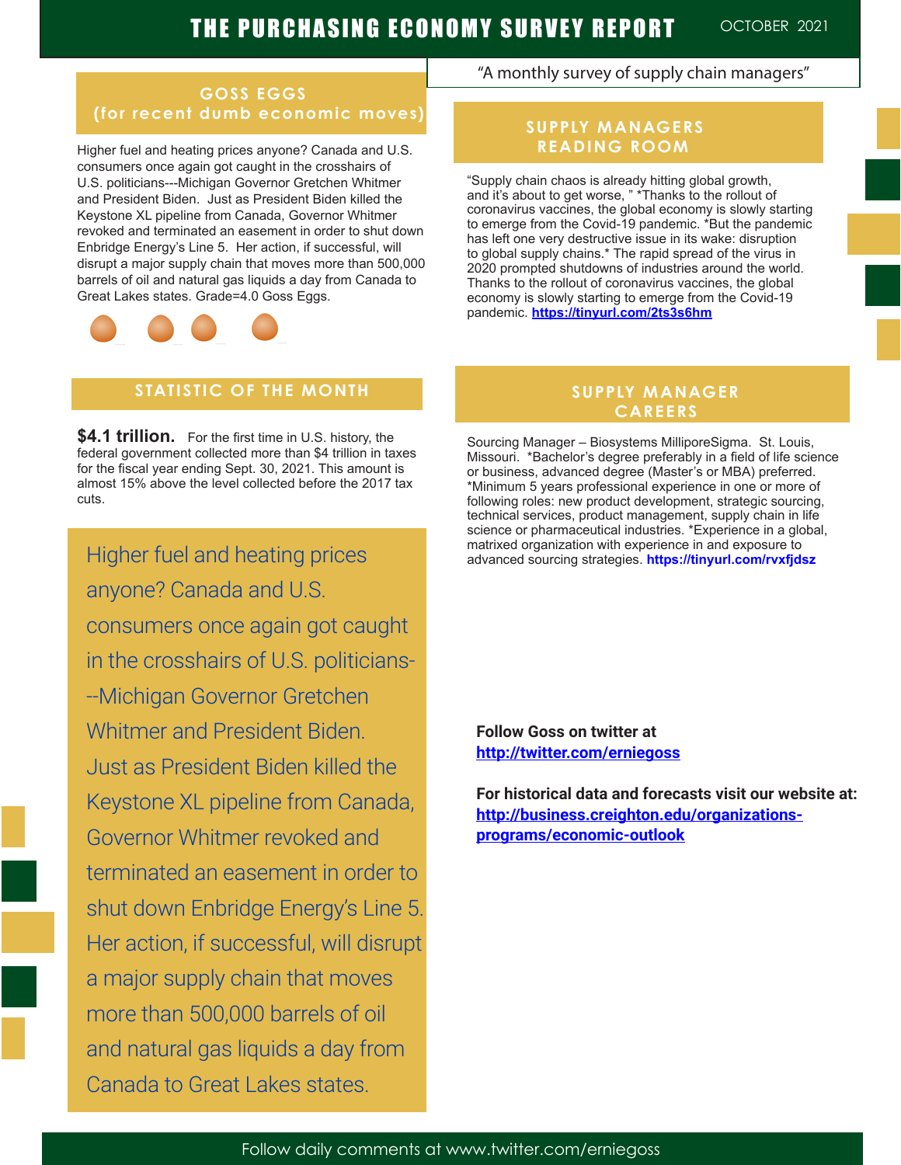### **GOSS EGGS (for recent dumb economic moves)**

Higher fuel and heating prices anyone? Canada and U.S. consumers once again got caught in the crosshairs of U.S. politicians---Michigan Governor Gretchen Whitmer and President Biden. Just as President Biden killed the Keystone XL pipeline from Canada, Governor Whitmer revoked and terminated an easement in order to shut down Enbridge Energy's Line 5. Her action, if successful, will disrupt a major supply chain that moves more than 500,000 barrels of oil and natural gas liquids a day from Canada to Great Lakes states. Grade=4.0 Goss Eggs.



## **STATISTIC OF THE MONTH**

**\$4.1 trillion.** For the first time in U.S. history, the federal government collected more than \$4 trillion in taxes for the fiscal year ending Sept. 30, 2021. This amount is almost 15% above the level collected before the 2017 tax cuts.

in the crosshairs of U.S. politicians-Higher fuel and heating prices anyone? Canada and U.S. consumers once again got caught --Michigan Governor Gretchen Whitmer and President Biden. Just as President Biden killed the Keystone XL pipeline from Canada, Governor Whitmer revoked and terminated an easement in order to shut down Enbridge Energy's Line 5. Her action, if successful, will disrupt a major supply chain that moves more than 500,000 barrels of oil and natural gas liquids a day from Canada to Great Lakes states.

### "A monthly survey of supply chain managers"

### **SUPPLY MANAGERS READING ROOM**

"Supply chain chaos is already hitting global growth, and it's about to get worse, " \*Thanks to the rollout of coronavirus vaccines, the global economy is slowly starting to emerge from the Covid-19 pandemic. \*But the pandemic has left one very destructive issue in its wake: disruption to global supply chains.\* The rapid spread of the virus in 2020 prompted shutdowns of industries around the world. Thanks to the rollout of coronavirus vaccines, the global economy is slowly starting to emerge from the Covid-19 pandemic. **https://tinyurl.com/2ts3s6hm**

### **SUPPLY MANAGER CAREERS**

Sourcing Manager – Biosystems MilliporeSigma. St. Louis, Missouri. \*Bachelor's degree preferably in a field of life science or business, advanced degree (Master's or MBA) preferred. \*Minimum 5 years professional experience in one or more of following roles: new product development, strategic sourcing, technical services, product management, supply chain in life science or pharmaceutical industries. \*Experience in a global, matrixed organization with experience in and exposure to advanced sourcing strategies. **https://tinyurl.com/rvxfjdsz**

**Follow Goss on twitter at http://twitter.com/erniegoss**

**For historical data and forecasts visit our website at: http://business.creighton.edu/organizations**programs/economic-outlook